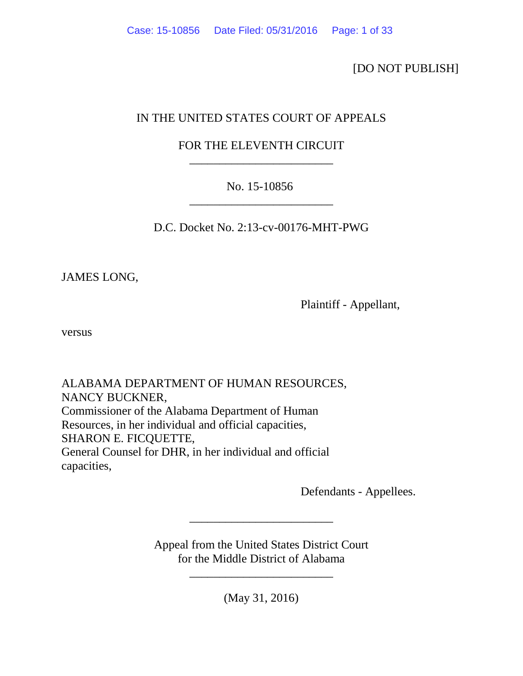[DO NOT PUBLISH]

# IN THE UNITED STATES COURT OF APPEALS

# FOR THE ELEVENTH CIRCUIT \_\_\_\_\_\_\_\_\_\_\_\_\_\_\_\_\_\_\_\_\_\_\_\_

# No. 15-10856 \_\_\_\_\_\_\_\_\_\_\_\_\_\_\_\_\_\_\_\_\_\_\_\_

D.C. Docket No. 2:13-cv-00176-MHT-PWG

JAMES LONG,

Plaintiff - Appellant,

versus

ALABAMA DEPARTMENT OF HUMAN RESOURCES, NANCY BUCKNER, Commissioner of the Alabama Department of Human Resources, in her individual and official capacities, SHARON E. FICQUETTE, General Counsel for DHR, in her individual and official capacities,

Defendants - Appellees.

Appeal from the United States District Court for the Middle District of Alabama

\_\_\_\_\_\_\_\_\_\_\_\_\_\_\_\_\_\_\_\_\_\_\_\_

(May 31, 2016)

\_\_\_\_\_\_\_\_\_\_\_\_\_\_\_\_\_\_\_\_\_\_\_\_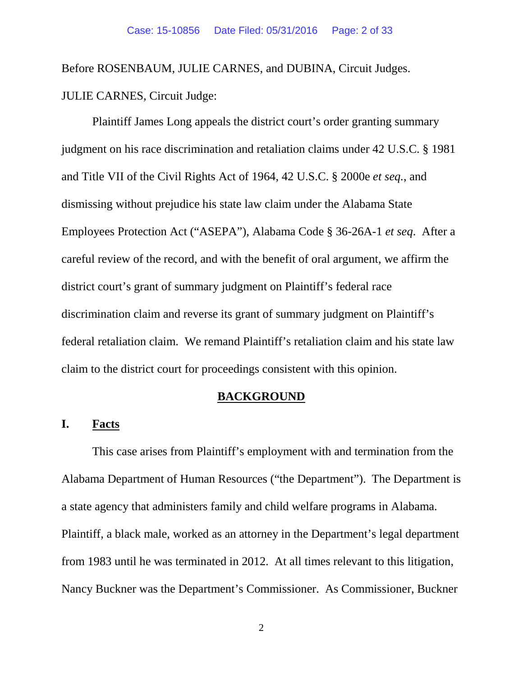Before ROSENBAUM, JULIE CARNES, and DUBINA, Circuit Judges. JULIE CARNES, Circuit Judge:

Plaintiff James Long appeals the district court's order granting summary judgment on his race discrimination and retaliation claims under 42 U.S.C. § 1981 and Title VII of the Civil Rights Act of 1964, 42 U.S.C. § 2000e *et seq.*, and dismissing without prejudice his state law claim under the Alabama State Employees Protection Act ("ASEPA"), Alabama Code § 36-26A-1 *et seq*. After a careful review of the record, and with the benefit of oral argument, we affirm the district court's grant of summary judgment on Plaintiff's federal race discrimination claim and reverse its grant of summary judgment on Plaintiff's federal retaliation claim. We remand Plaintiff's retaliation claim and his state law claim to the district court for proceedings consistent with this opinion.

#### **BACKGROUND**

# **I. Facts**

This case arises from Plaintiff's employment with and termination from the Alabama Department of Human Resources ("the Department"). The Department is a state agency that administers family and child welfare programs in Alabama. Plaintiff, a black male, worked as an attorney in the Department's legal department from 1983 until he was terminated in 2012. At all times relevant to this litigation, Nancy Buckner was the Department's Commissioner. As Commissioner, Buckner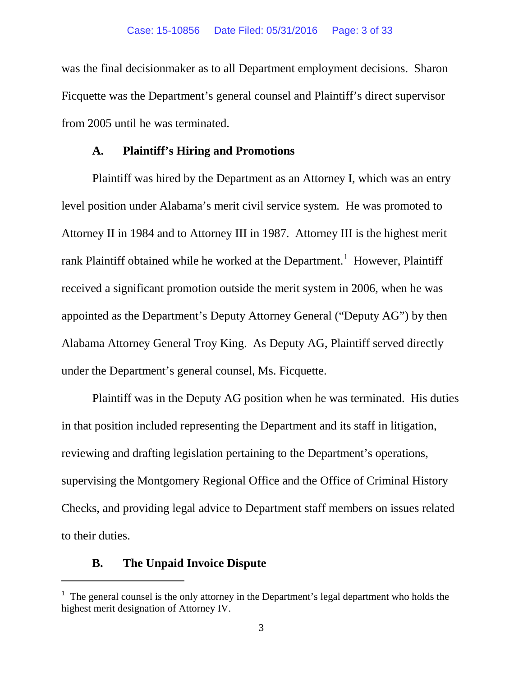was the final decisionmaker as to all Department employment decisions. Sharon Ficquette was the Department's general counsel and Plaintiff's direct supervisor from 2005 until he was terminated.

# **A. Plaintiff's Hiring and Promotions**

Plaintiff was hired by the Department as an Attorney I, which was an entry level position under Alabama's merit civil service system. He was promoted to Attorney II in 1984 and to Attorney III in 1987. Attorney III is the highest merit rank Plaintiff obtained while he worked at the Department.<sup>[1](#page-2-0)</sup> However, Plaintiff received a significant promotion outside the merit system in 2006, when he was appointed as the Department's Deputy Attorney General ("Deputy AG") by then Alabama Attorney General Troy King. As Deputy AG, Plaintiff served directly under the Department's general counsel, Ms. Ficquette.

Plaintiff was in the Deputy AG position when he was terminated. His duties in that position included representing the Department and its staff in litigation, reviewing and drafting legislation pertaining to the Department's operations, supervising the Montgomery Regional Office and the Office of Criminal History Checks, and providing legal advice to Department staff members on issues related to their duties.

## **B. The Unpaid Invoice Dispute**

<span id="page-2-0"></span> $<sup>1</sup>$  The general counsel is the only attorney in the Department's legal department who holds the</sup> highest merit designation of Attorney IV.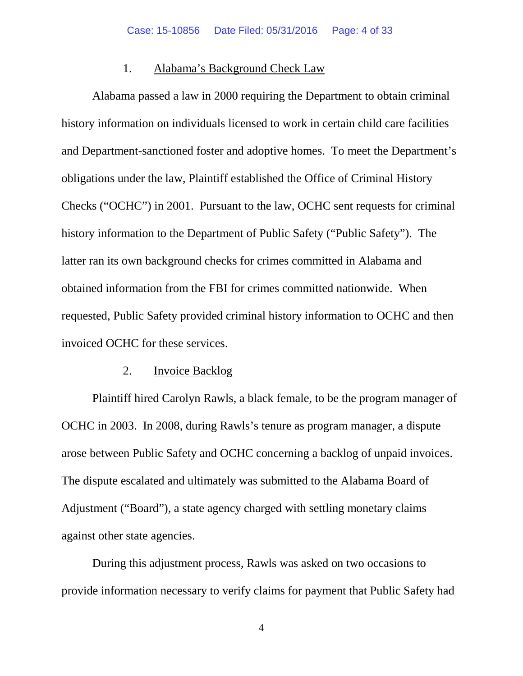#### 1. Alabama's Background Check Law

Alabama passed a law in 2000 requiring the Department to obtain criminal history information on individuals licensed to work in certain child care facilities and Department-sanctioned foster and adoptive homes. To meet the Department's obligations under the law, Plaintiff established the Office of Criminal History Checks ("OCHC") in 2001. Pursuant to the law, OCHC sent requests for criminal history information to the Department of Public Safety ("Public Safety"). The latter ran its own background checks for crimes committed in Alabama and obtained information from the FBI for crimes committed nationwide. When requested, Public Safety provided criminal history information to OCHC and then invoiced OCHC for these services.

#### 2. Invoice Backlog

Plaintiff hired Carolyn Rawls, a black female, to be the program manager of OCHC in 2003. In 2008, during Rawls's tenure as program manager, a dispute arose between Public Safety and OCHC concerning a backlog of unpaid invoices. The dispute escalated and ultimately was submitted to the Alabama Board of Adjustment ("Board"), a state agency charged with settling monetary claims against other state agencies.

During this adjustment process, Rawls was asked on two occasions to provide information necessary to verify claims for payment that Public Safety had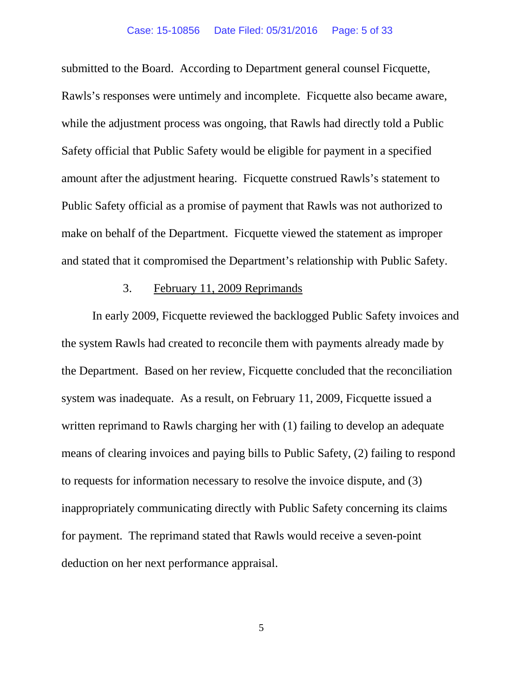submitted to the Board. According to Department general counsel Ficquette, Rawls's responses were untimely and incomplete. Ficquette also became aware, while the adjustment process was ongoing, that Rawls had directly told a Public Safety official that Public Safety would be eligible for payment in a specified amount after the adjustment hearing. Ficquette construed Rawls's statement to Public Safety official as a promise of payment that Rawls was not authorized to make on behalf of the Department. Ficquette viewed the statement as improper and stated that it compromised the Department's relationship with Public Safety.

# 3. February 11, 2009 Reprimands

In early 2009, Ficquette reviewed the backlogged Public Safety invoices and the system Rawls had created to reconcile them with payments already made by the Department. Based on her review, Ficquette concluded that the reconciliation system was inadequate. As a result, on February 11, 2009, Ficquette issued a written reprimand to Rawls charging her with (1) failing to develop an adequate means of clearing invoices and paying bills to Public Safety, (2) failing to respond to requests for information necessary to resolve the invoice dispute, and (3) inappropriately communicating directly with Public Safety concerning its claims for payment. The reprimand stated that Rawls would receive a seven-point deduction on her next performance appraisal.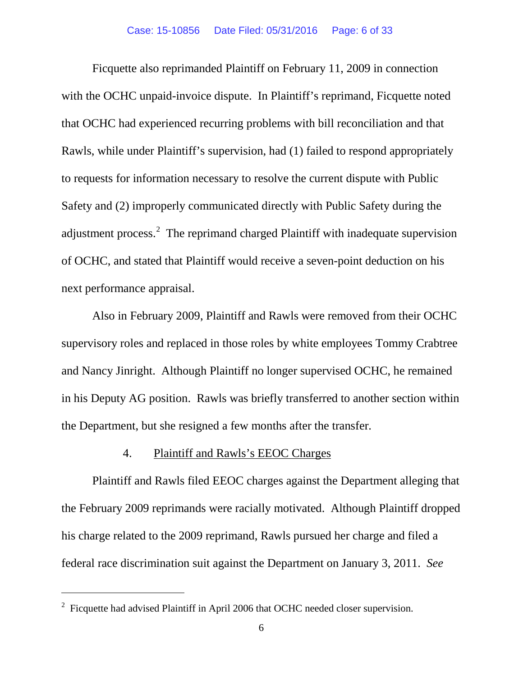Ficquette also reprimanded Plaintiff on February 11, 2009 in connection with the OCHC unpaid-invoice dispute. In Plaintiff's reprimand, Ficquette noted that OCHC had experienced recurring problems with bill reconciliation and that Rawls, while under Plaintiff's supervision, had (1) failed to respond appropriately to requests for information necessary to resolve the current dispute with Public Safety and (2) improperly communicated directly with Public Safety during the adjustment process.<sup>[2](#page-5-0)</sup> The reprimand charged Plaintiff with inadequate supervision of OCHC, and stated that Plaintiff would receive a seven-point deduction on his next performance appraisal.

Also in February 2009, Plaintiff and Rawls were removed from their OCHC supervisory roles and replaced in those roles by white employees Tommy Crabtree and Nancy Jinright. Although Plaintiff no longer supervised OCHC, he remained in his Deputy AG position. Rawls was briefly transferred to another section within the Department, but she resigned a few months after the transfer.

### 4. Plaintiff and Rawls's EEOC Charges

Plaintiff and Rawls filed EEOC charges against the Department alleging that the February 2009 reprimands were racially motivated. Although Plaintiff dropped his charge related to the 2009 reprimand, Rawls pursued her charge and filed a federal race discrimination suit against the Department on January 3, 2011. *See* 

<span id="page-5-0"></span> $2$  Ficquette had advised Plaintiff in April 2006 that OCHC needed closer supervision.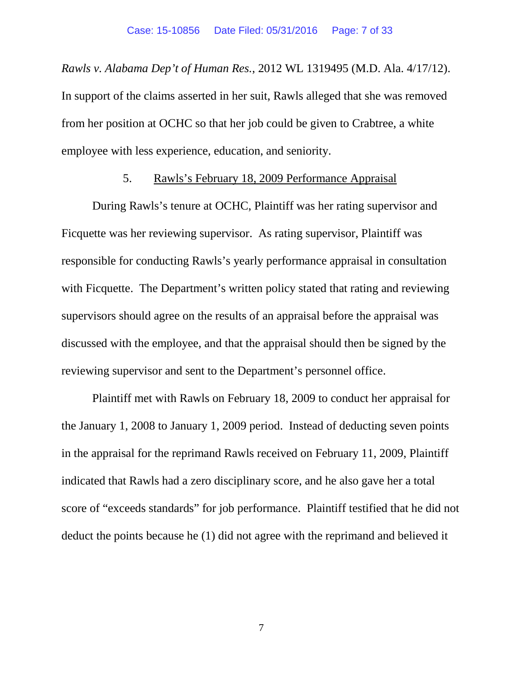*Rawls v. Alabama Dep't of Human Res.*, 2012 WL 1319495 (M.D. Ala. 4/17/12). In support of the claims asserted in her suit, Rawls alleged that she was removed from her position at OCHC so that her job could be given to Crabtree, a white employee with less experience, education, and seniority.

#### 5. Rawls's February 18, 2009 Performance Appraisal

During Rawls's tenure at OCHC, Plaintiff was her rating supervisor and Ficquette was her reviewing supervisor. As rating supervisor, Plaintiff was responsible for conducting Rawls's yearly performance appraisal in consultation with Ficquette. The Department's written policy stated that rating and reviewing supervisors should agree on the results of an appraisal before the appraisal was discussed with the employee, and that the appraisal should then be signed by the reviewing supervisor and sent to the Department's personnel office.

Plaintiff met with Rawls on February 18, 2009 to conduct her appraisal for the January 1, 2008 to January 1, 2009 period. Instead of deducting seven points in the appraisal for the reprimand Rawls received on February 11, 2009, Plaintiff indicated that Rawls had a zero disciplinary score, and he also gave her a total score of "exceeds standards" for job performance. Plaintiff testified that he did not deduct the points because he (1) did not agree with the reprimand and believed it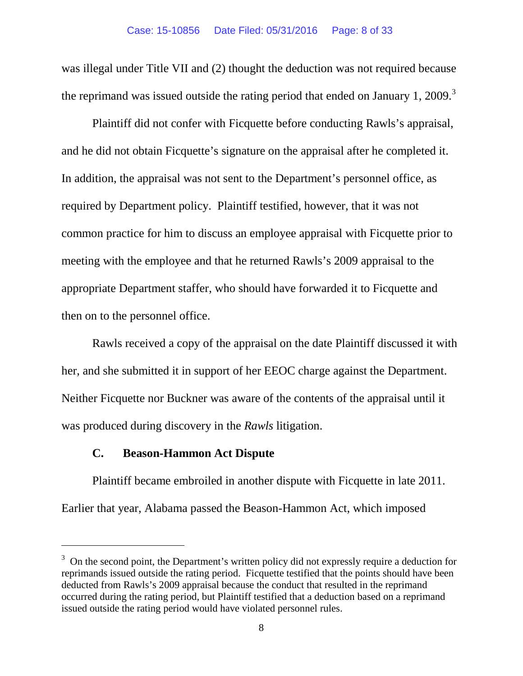was illegal under Title VII and (2) thought the deduction was not required because the reprimand was issued outside the rating period that ended on January 1, 2009. $3$ 

Plaintiff did not confer with Ficquette before conducting Rawls's appraisal, and he did not obtain Ficquette's signature on the appraisal after he completed it. In addition, the appraisal was not sent to the Department's personnel office, as required by Department policy. Plaintiff testified, however, that it was not common practice for him to discuss an employee appraisal with Ficquette prior to meeting with the employee and that he returned Rawls's 2009 appraisal to the appropriate Department staffer, who should have forwarded it to Ficquette and then on to the personnel office.

Rawls received a copy of the appraisal on the date Plaintiff discussed it with her, and she submitted it in support of her EEOC charge against the Department. Neither Ficquette nor Buckner was aware of the contents of the appraisal until it was produced during discovery in the *Rawls* litigation.

### **C. Beason-Hammon Act Dispute**

 $\overline{a}$ 

Plaintiff became embroiled in another dispute with Ficquette in late 2011. Earlier that year, Alabama passed the Beason-Hammon Act, which imposed

<span id="page-7-0"></span> $3$  On the second point, the Department's written policy did not expressly require a deduction for reprimands issued outside the rating period. Ficquette testified that the points should have been deducted from Rawls's 2009 appraisal because the conduct that resulted in the reprimand occurred during the rating period, but Plaintiff testified that a deduction based on a reprimand issued outside the rating period would have violated personnel rules.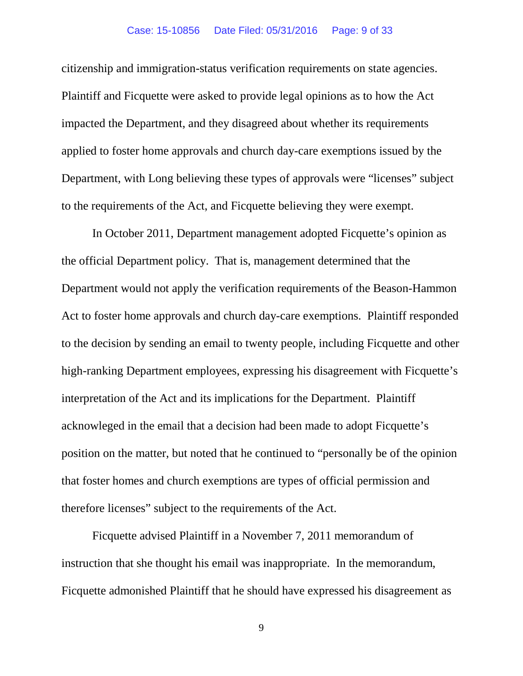#### Case: 15-10856 Date Filed: 05/31/2016 Page: 9 of 33

citizenship and immigration-status verification requirements on state agencies. Plaintiff and Ficquette were asked to provide legal opinions as to how the Act impacted the Department, and they disagreed about whether its requirements applied to foster home approvals and church day-care exemptions issued by the Department, with Long believing these types of approvals were "licenses" subject to the requirements of the Act, and Ficquette believing they were exempt.

In October 2011, Department management adopted Ficquette's opinion as the official Department policy. That is, management determined that the Department would not apply the verification requirements of the Beason-Hammon Act to foster home approvals and church day-care exemptions. Plaintiff responded to the decision by sending an email to twenty people, including Ficquette and other high-ranking Department employees, expressing his disagreement with Ficquette's interpretation of the Act and its implications for the Department. Plaintiff acknowleged in the email that a decision had been made to adopt Ficquette's position on the matter, but noted that he continued to "personally be of the opinion that foster homes and church exemptions are types of official permission and therefore licenses" subject to the requirements of the Act.

Ficquette advised Plaintiff in a November 7, 2011 memorandum of instruction that she thought his email was inappropriate. In the memorandum, Ficquette admonished Plaintiff that he should have expressed his disagreement as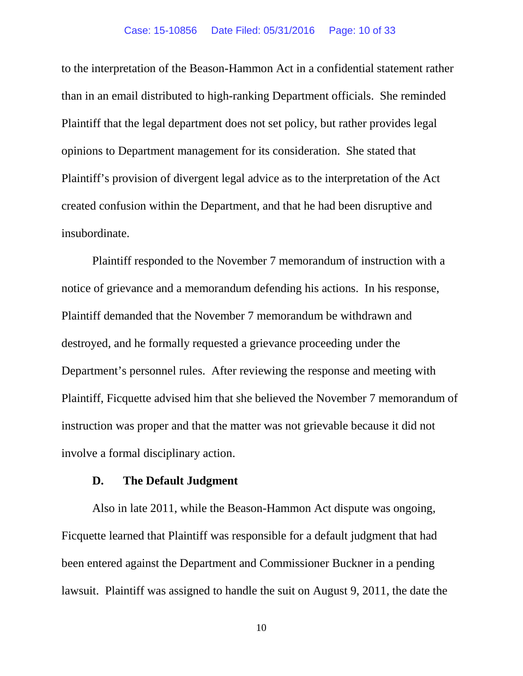to the interpretation of the Beason-Hammon Act in a confidential statement rather than in an email distributed to high-ranking Department officials. She reminded Plaintiff that the legal department does not set policy, but rather provides legal opinions to Department management for its consideration. She stated that Plaintiff's provision of divergent legal advice as to the interpretation of the Act created confusion within the Department, and that he had been disruptive and insubordinate.

Plaintiff responded to the November 7 memorandum of instruction with a notice of grievance and a memorandum defending his actions. In his response, Plaintiff demanded that the November 7 memorandum be withdrawn and destroyed, and he formally requested a grievance proceeding under the Department's personnel rules. After reviewing the response and meeting with Plaintiff, Ficquette advised him that she believed the November 7 memorandum of instruction was proper and that the matter was not grievable because it did not involve a formal disciplinary action.

#### **D. The Default Judgment**

Also in late 2011, while the Beason-Hammon Act dispute was ongoing, Ficquette learned that Plaintiff was responsible for a default judgment that had been entered against the Department and Commissioner Buckner in a pending lawsuit. Plaintiff was assigned to handle the suit on August 9, 2011, the date the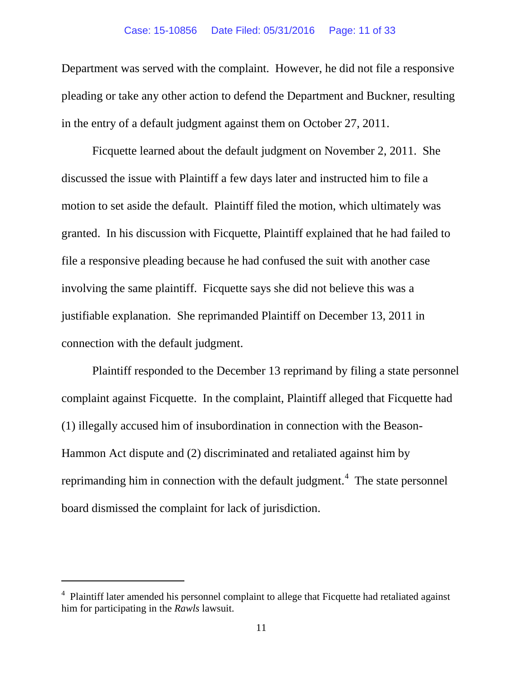Department was served with the complaint. However, he did not file a responsive pleading or take any other action to defend the Department and Buckner, resulting in the entry of a default judgment against them on October 27, 2011.

Ficquette learned about the default judgment on November 2, 2011. She discussed the issue with Plaintiff a few days later and instructed him to file a motion to set aside the default. Plaintiff filed the motion, which ultimately was granted. In his discussion with Ficquette, Plaintiff explained that he had failed to file a responsive pleading because he had confused the suit with another case involving the same plaintiff.Ficquette says she did not believe this was a justifiable explanation. She reprimanded Plaintiff on December 13, 2011 in connection with the default judgment.

Plaintiff responded to the December 13 reprimand by filing a state personnel complaint against Ficquette. In the complaint, Plaintiff alleged that Ficquette had (1) illegally accused him of insubordination in connection with the Beason-Hammon Act dispute and (2) discriminated and retaliated against him by reprimanding him in connection with the default judgment.<sup>[4](#page-10-0)</sup> The state personnel board dismissed the complaint for lack of jurisdiction.

<span id="page-10-0"></span><sup>&</sup>lt;sup>4</sup> Plaintiff later amended his personnel complaint to allege that Ficquette had retaliated against him for participating in the *Rawls* lawsuit.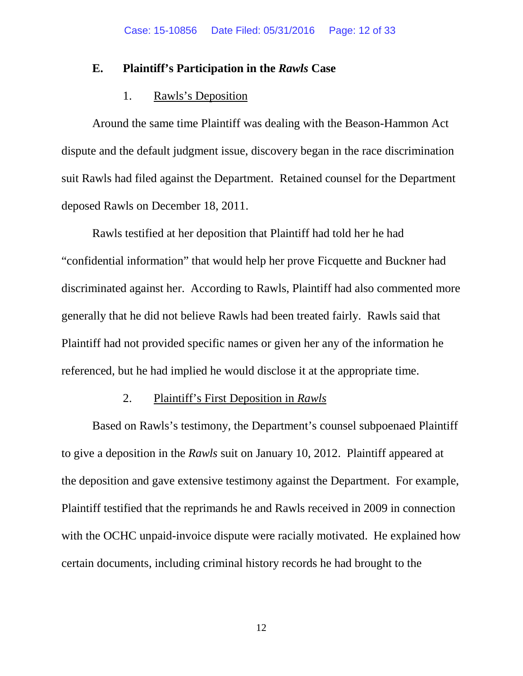#### **E. Plaintiff's Participation in the** *Rawls* **Case**

### 1. Rawls's Deposition

Around the same time Plaintiff was dealing with the Beason-Hammon Act dispute and the default judgment issue, discovery began in the race discrimination suit Rawls had filed against the Department. Retained counsel for the Department deposed Rawls on December 18, 2011.

Rawls testified at her deposition that Plaintiff had told her he had "confidential information" that would help her prove Ficquette and Buckner had discriminated against her. According to Rawls, Plaintiff had also commented more generally that he did not believe Rawls had been treated fairly. Rawls said that Plaintiff had not provided specific names or given her any of the information he referenced, but he had implied he would disclose it at the appropriate time.

#### 2. Plaintiff's First Deposition in *Rawls*

Based on Rawls's testimony, the Department's counsel subpoenaed Plaintiff to give a deposition in the *Rawls* suit on January 10, 2012. Plaintiff appeared at the deposition and gave extensive testimony against the Department. For example, Plaintiff testified that the reprimands he and Rawls received in 2009 in connection with the OCHC unpaid-invoice dispute were racially motivated. He explained how certain documents, including criminal history records he had brought to the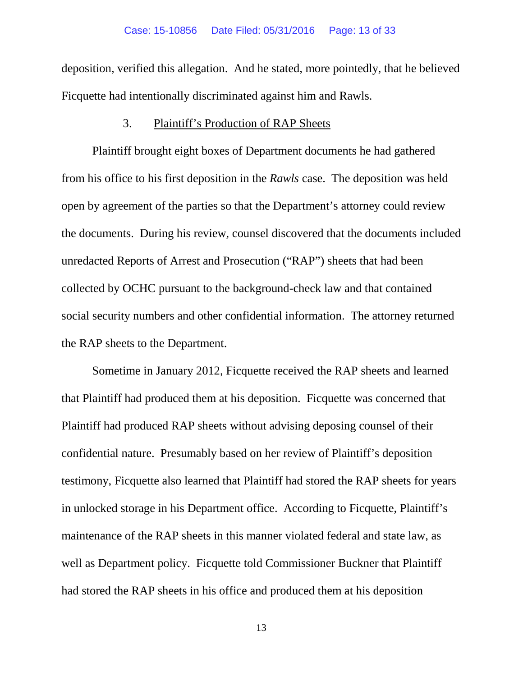deposition, verified this allegation. And he stated, more pointedly, that he believed Ficquette had intentionally discriminated against him and Rawls.

### 3. Plaintiff's Production of RAP Sheets

Plaintiff brought eight boxes of Department documents he had gathered from his office to his first deposition in the *Rawls* case. The deposition was held open by agreement of the parties so that the Department's attorney could review the documents. During his review, counsel discovered that the documents included unredacted Reports of Arrest and Prosecution ("RAP") sheets that had been collected by OCHC pursuant to the background-check law and that contained social security numbers and other confidential information. The attorney returned the RAP sheets to the Department.

Sometime in January 2012, Ficquette received the RAP sheets and learned that Plaintiff had produced them at his deposition. Ficquette was concerned that Plaintiff had produced RAP sheets without advising deposing counsel of their confidential nature. Presumably based on her review of Plaintiff's deposition testimony, Ficquette also learned that Plaintiff had stored the RAP sheets for years in unlocked storage in his Department office. According to Ficquette, Plaintiff's maintenance of the RAP sheets in this manner violated federal and state law, as well as Department policy. Ficquette told Commissioner Buckner that Plaintiff had stored the RAP sheets in his office and produced them at his deposition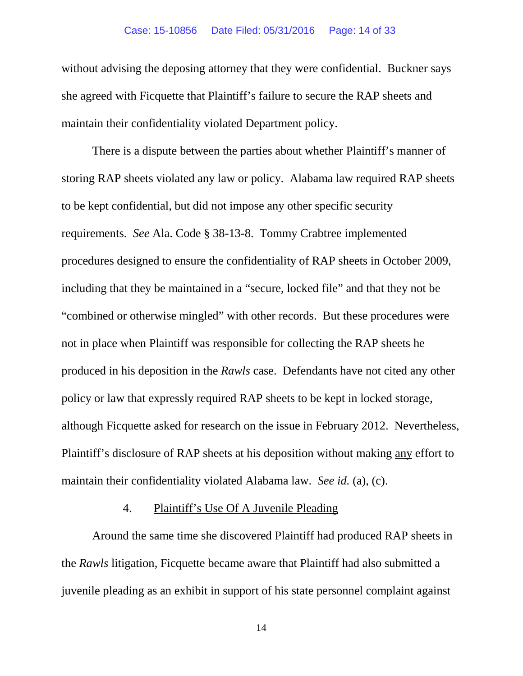#### Case: 15-10856 Date Filed: 05/31/2016 Page: 14 of 33

without advising the deposing attorney that they were confidential. Buckner says she agreed with Ficquette that Plaintiff's failure to secure the RAP sheets and maintain their confidentiality violated Department policy.

There is a dispute between the parties about whether Plaintiff's manner of storing RAP sheets violated any law or policy. Alabama law required RAP sheets to be kept confidential, but did not impose any other specific security requirements. *See* Ala. Code § 38-13-8. Tommy Crabtree implemented procedures designed to ensure the confidentiality of RAP sheets in October 2009, including that they be maintained in a "secure, locked file" and that they not be "combined or otherwise mingled" with other records. But these procedures were not in place when Plaintiff was responsible for collecting the RAP sheets he produced in his deposition in the *Rawls* case. Defendants have not cited any other policy or law that expressly required RAP sheets to be kept in locked storage, although Ficquette asked for research on the issue in February 2012. Nevertheless, Plaintiff's disclosure of RAP sheets at his deposition without making any effort to maintain their confidentiality violated Alabama law. *See id.* (a), (c).

#### 4. Plaintiff's Use Of A Juvenile Pleading

Around the same time she discovered Plaintiff had produced RAP sheets in the *Rawls* litigation, Ficquette became aware that Plaintiff had also submitted a juvenile pleading as an exhibit in support of his state personnel complaint against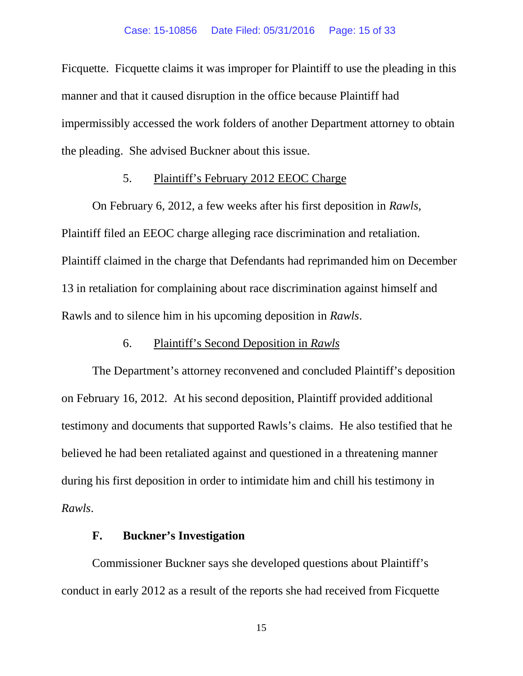Ficquette. Ficquette claims it was improper for Plaintiff to use the pleading in this manner and that it caused disruption in the office because Plaintiff had impermissibly accessed the work folders of another Department attorney to obtain the pleading. She advised Buckner about this issue.

## 5. Plaintiff's February 2012 EEOC Charge

On February 6, 2012, a few weeks after his first deposition in *Rawls*, Plaintiff filed an EEOC charge alleging race discrimination and retaliation. Plaintiff claimed in the charge that Defendants had reprimanded him on December 13 in retaliation for complaining about race discrimination against himself and Rawls and to silence him in his upcoming deposition in *Rawls*.

## 6. Plaintiff's Second Deposition in *Rawls*

The Department's attorney reconvened and concluded Plaintiff's deposition on February 16, 2012. At his second deposition, Plaintiff provided additional testimony and documents that supported Rawls's claims. He also testified that he believed he had been retaliated against and questioned in a threatening manner during his first deposition in order to intimidate him and chill his testimony in *Rawls*.

### **F. Buckner's Investigation**

Commissioner Buckner says she developed questions about Plaintiff's conduct in early 2012 as a result of the reports she had received from Ficquette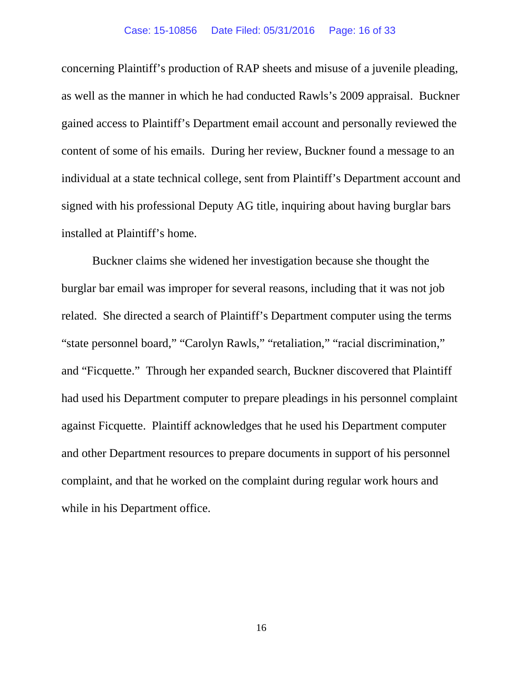concerning Plaintiff's production of RAP sheets and misuse of a juvenile pleading, as well as the manner in which he had conducted Rawls's 2009 appraisal. Buckner gained access to Plaintiff's Department email account and personally reviewed the content of some of his emails. During her review, Buckner found a message to an individual at a state technical college, sent from Plaintiff's Department account and signed with his professional Deputy AG title, inquiring about having burglar bars installed at Plaintiff's home.

Buckner claims she widened her investigation because she thought the burglar bar email was improper for several reasons, including that it was not job related. She directed a search of Plaintiff's Department computer using the terms "state personnel board," "Carolyn Rawls," "retaliation," "racial discrimination," and "Ficquette." Through her expanded search, Buckner discovered that Plaintiff had used his Department computer to prepare pleadings in his personnel complaint against Ficquette. Plaintiff acknowledges that he used his Department computer and other Department resources to prepare documents in support of his personnel complaint, and that he worked on the complaint during regular work hours and while in his Department office.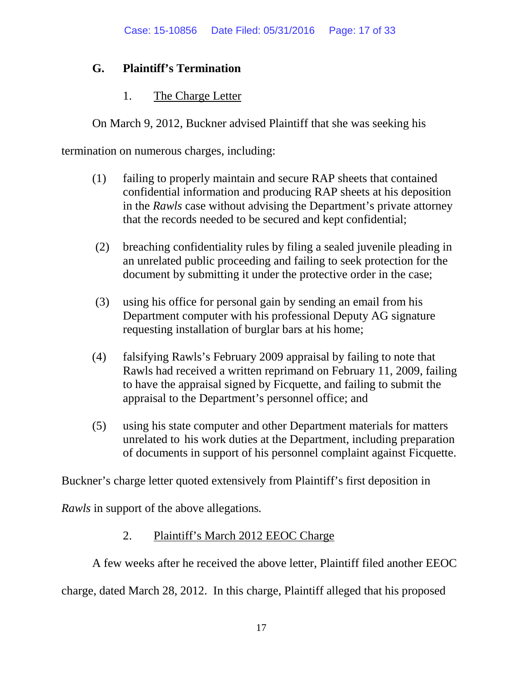# **G. Plaintiff's Termination**

# 1. The Charge Letter

On March 9, 2012, Buckner advised Plaintiff that she was seeking his

termination on numerous charges, including:

- (1) failing to properly maintain and secure RAP sheets that contained confidential information and producing RAP sheets at his deposition in the *Rawls* case without advising the Department's private attorney that the records needed to be secured and kept confidential;
- (2) breaching confidentiality rules by filing a sealed juvenile pleading in an unrelated public proceeding and failing to seek protection for the document by submitting it under the protective order in the case;
- (3) using his office for personal gain by sending an email from his Department computer with his professional Deputy AG signature requesting installation of burglar bars at his home;
- (4) falsifying Rawls's February 2009 appraisal by failing to note that Rawls had received a written reprimand on February 11, 2009, failing to have the appraisal signed by Ficquette, and failing to submit the appraisal to the Department's personnel office; and
- (5) using his state computer and other Department materials for matters unrelated to his work duties at the Department, including preparation of documents in support of his personnel complaint against Ficquette.

Buckner's charge letter quoted extensively from Plaintiff's first deposition in

*Rawls* in support of the above allegations*.* 

# 2. Plaintiff's March 2012 EEOC Charge

A few weeks after he received the above letter, Plaintiff filed another EEOC

charge, dated March 28, 2012. In this charge, Plaintiff alleged that his proposed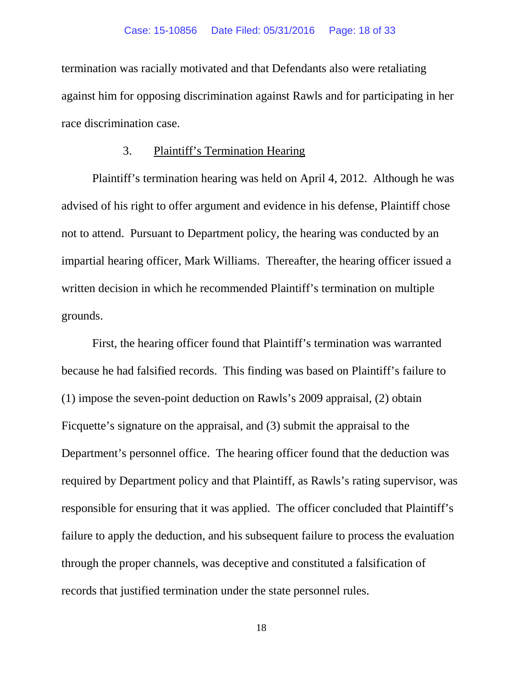termination was racially motivated and that Defendants also were retaliating against him for opposing discrimination against Rawls and for participating in her race discrimination case.

# 3. Plaintiff's Termination Hearing

Plaintiff's termination hearing was held on April 4, 2012. Although he was advised of his right to offer argument and evidence in his defense, Plaintiff chose not to attend. Pursuant to Department policy, the hearing was conducted by an impartial hearing officer, Mark Williams. Thereafter, the hearing officer issued a written decision in which he recommended Plaintiff's termination on multiple grounds.

First, the hearing officer found that Plaintiff's termination was warranted because he had falsified records. This finding was based on Plaintiff's failure to (1) impose the seven-point deduction on Rawls's 2009 appraisal, (2) obtain Ficquette's signature on the appraisal, and (3) submit the appraisal to the Department's personnel office. The hearing officer found that the deduction was required by Department policy and that Plaintiff, as Rawls's rating supervisor, was responsible for ensuring that it was applied. The officer concluded that Plaintiff's failure to apply the deduction, and his subsequent failure to process the evaluation through the proper channels, was deceptive and constituted a falsification of records that justified termination under the state personnel rules.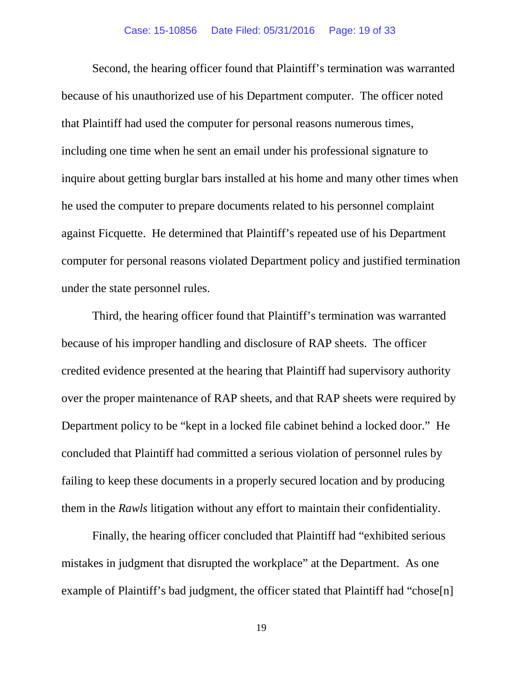Second, the hearing officer found that Plaintiff's termination was warranted because of his unauthorized use of his Department computer. The officer noted that Plaintiff had used the computer for personal reasons numerous times, including one time when he sent an email under his professional signature to inquire about getting burglar bars installed at his home and many other times when he used the computer to prepare documents related to his personnel complaint against Ficquette. He determined that Plaintiff's repeated use of his Department computer for personal reasons violated Department policy and justified termination under the state personnel rules.

Third, the hearing officer found that Plaintiff's termination was warranted because of his improper handling and disclosure of RAP sheets. The officer credited evidence presented at the hearing that Plaintiff had supervisory authority over the proper maintenance of RAP sheets, and that RAP sheets were required by Department policy to be "kept in a locked file cabinet behind a locked door." He concluded that Plaintiff had committed a serious violation of personnel rules by failing to keep these documents in a properly secured location and by producing them in the *Rawls* litigation without any effort to maintain their confidentiality.

Finally, the hearing officer concluded that Plaintiff had "exhibited serious mistakes in judgment that disrupted the workplace" at the Department. As one example of Plaintiff's bad judgment, the officer stated that Plaintiff had "chose[n]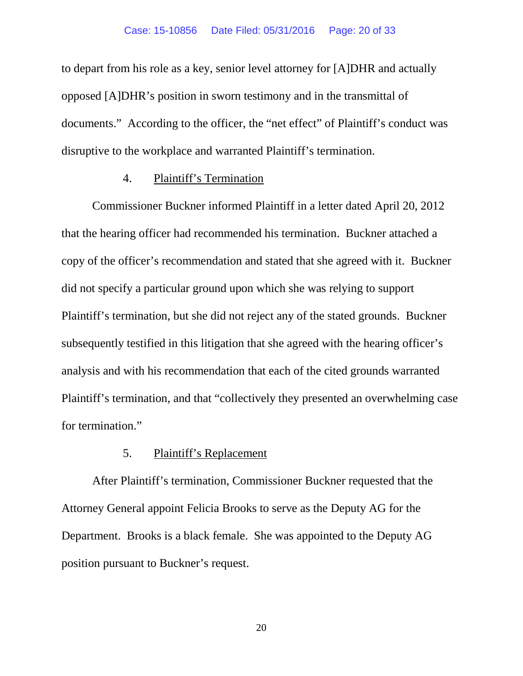to depart from his role as a key, senior level attorney for [A]DHR and actually opposed [A]DHR's position in sworn testimony and in the transmittal of documents." According to the officer, the "net effect" of Plaintiff's conduct was disruptive to the workplace and warranted Plaintiff's termination.

#### 4. Plaintiff's Termination

Commissioner Buckner informed Plaintiff in a letter dated April 20, 2012 that the hearing officer had recommended his termination. Buckner attached a copy of the officer's recommendation and stated that she agreed with it. Buckner did not specify a particular ground upon which she was relying to support Plaintiff's termination, but she did not reject any of the stated grounds. Buckner subsequently testified in this litigation that she agreed with the hearing officer's analysis and with his recommendation that each of the cited grounds warranted Plaintiff's termination, and that "collectively they presented an overwhelming case for termination."

### 5. Plaintiff's Replacement

After Plaintiff's termination, Commissioner Buckner requested that the Attorney General appoint Felicia Brooks to serve as the Deputy AG for the Department. Brooks is a black female. She was appointed to the Deputy AG position pursuant to Buckner's request.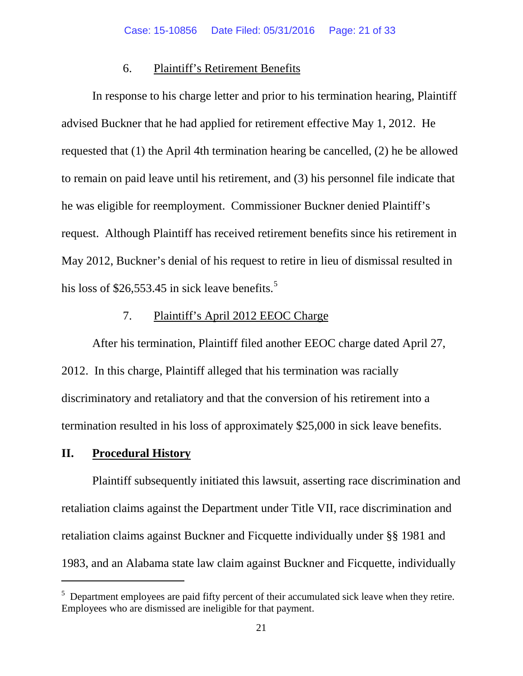#### 6. Plaintiff's Retirement Benefits

In response to his charge letter and prior to his termination hearing, Plaintiff advised Buckner that he had applied for retirement effective May 1, 2012. He requested that (1) the April 4th termination hearing be cancelled, (2) he be allowed to remain on paid leave until his retirement, and (3) his personnel file indicate that he was eligible for reemployment. Commissioner Buckner denied Plaintiff's request. Although Plaintiff has received retirement benefits since his retirement in May 2012, Buckner's denial of his request to retire in lieu of dismissal resulted in his loss of  $$26,553.45$  $$26,553.45$  $$26,553.45$  in sick leave benefits.<sup>5</sup>

### 7. Plaintiff's April 2012 EEOC Charge

After his termination, Plaintiff filed another EEOC charge dated April 27, 2012. In this charge, Plaintiff alleged that his termination was racially discriminatory and retaliatory and that the conversion of his retirement into a termination resulted in his loss of approximately \$25,000 in sick leave benefits.

# **II. Procedural History**

 $\overline{a}$ 

Plaintiff subsequently initiated this lawsuit, asserting race discrimination and retaliation claims against the Department under Title VII, race discrimination and retaliation claims against Buckner and Ficquette individually under §§ 1981 and 1983, and an Alabama state law claim against Buckner and Ficquette, individually

<span id="page-20-0"></span> $<sup>5</sup>$  Department employees are paid fifty percent of their accumulated sick leave when they retire.</sup> Employees who are dismissed are ineligible for that payment.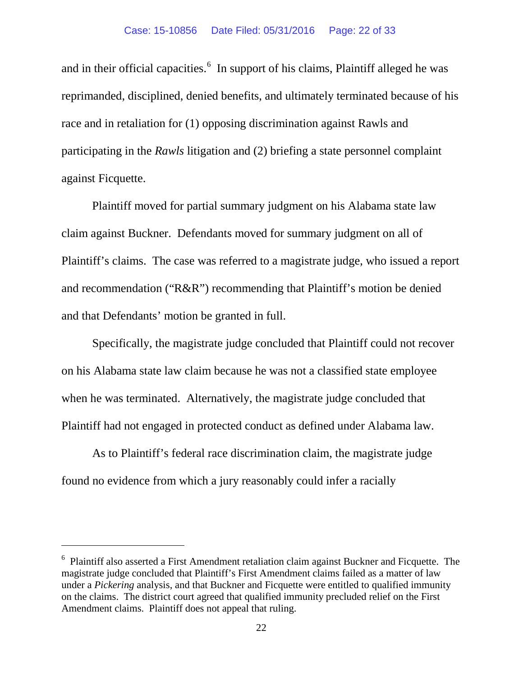and in their official capacities.<sup>[6](#page-21-0)</sup> In support of his claims, Plaintiff alleged he was reprimanded, disciplined, denied benefits, and ultimately terminated because of his race and in retaliation for (1) opposing discrimination against Rawls and participating in the *Rawls* litigation and (2) briefing a state personnel complaint against Ficquette.

Plaintiff moved for partial summary judgment on his Alabama state law claim against Buckner. Defendants moved for summary judgment on all of Plaintiff's claims. The case was referred to a magistrate judge, who issued a report and recommendation ("R&R") recommending that Plaintiff's motion be denied and that Defendants' motion be granted in full.

Specifically, the magistrate judge concluded that Plaintiff could not recover on his Alabama state law claim because he was not a classified state employee when he was terminated. Alternatively, the magistrate judge concluded that Plaintiff had not engaged in protected conduct as defined under Alabama law.

As to Plaintiff's federal race discrimination claim, the magistrate judge found no evidence from which a jury reasonably could infer a racially

<span id="page-21-0"></span><sup>&</sup>lt;sup>6</sup> Plaintiff also asserted a First Amendment retaliation claim against Buckner and Ficquette. The magistrate judge concluded that Plaintiff's First Amendment claims failed as a matter of law under a *Pickering* analysis, and that Buckner and Ficquette were entitled to qualified immunity on the claims. The district court agreed that qualified immunity precluded relief on the First Amendment claims. Plaintiff does not appeal that ruling.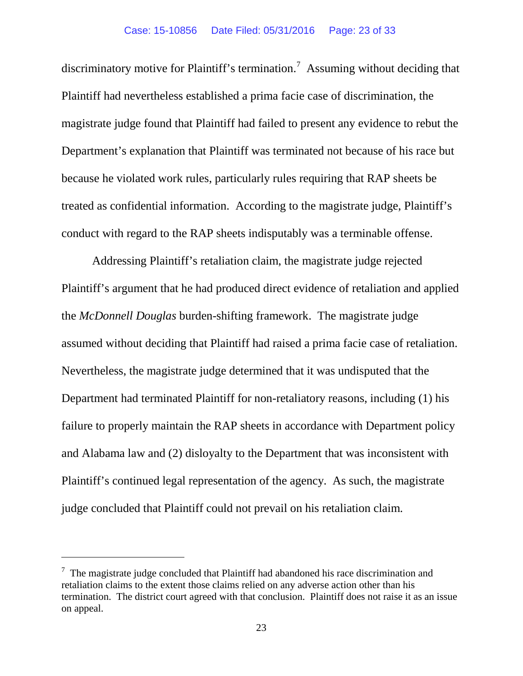discriminatory motive for Plaintiff's termination.<sup>[7](#page-22-0)</sup> Assuming without deciding that Plaintiff had nevertheless established a prima facie case of discrimination, the magistrate judge found that Plaintiff had failed to present any evidence to rebut the Department's explanation that Plaintiff was terminated not because of his race but because he violated work rules, particularly rules requiring that RAP sheets be treated as confidential information. According to the magistrate judge, Plaintiff's conduct with regard to the RAP sheets indisputably was a terminable offense.

Addressing Plaintiff's retaliation claim, the magistrate judge rejected Plaintiff's argument that he had produced direct evidence of retaliation and applied the *McDonnell Douglas* burden-shifting framework. The magistrate judge assumed without deciding that Plaintiff had raised a prima facie case of retaliation. Nevertheless, the magistrate judge determined that it was undisputed that the Department had terminated Plaintiff for non-retaliatory reasons, including (1) his failure to properly maintain the RAP sheets in accordance with Department policy and Alabama law and (2) disloyalty to the Department that was inconsistent with Plaintiff's continued legal representation of the agency. As such, the magistrate judge concluded that Plaintiff could not prevail on his retaliation claim.

<span id="page-22-0"></span> $7$  The magistrate judge concluded that Plaintiff had abandoned his race discrimination and retaliation claims to the extent those claims relied on any adverse action other than his termination. The district court agreed with that conclusion. Plaintiff does not raise it as an issue on appeal.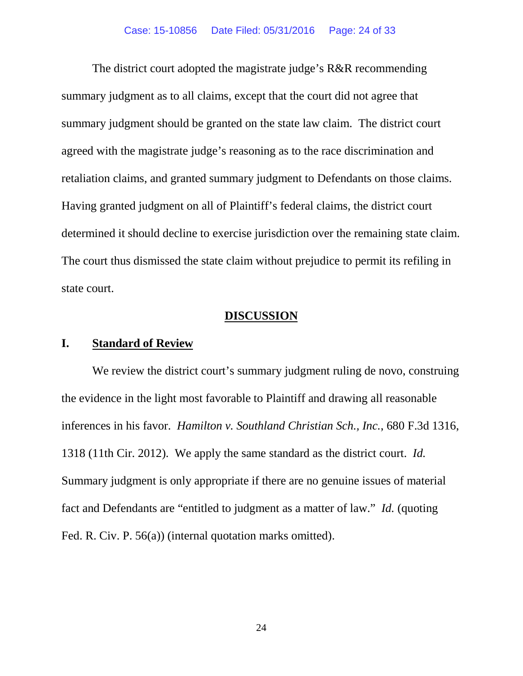The district court adopted the magistrate judge's R&R recommending summary judgment as to all claims, except that the court did not agree that summary judgment should be granted on the state law claim. The district court agreed with the magistrate judge's reasoning as to the race discrimination and retaliation claims, and granted summary judgment to Defendants on those claims. Having granted judgment on all of Plaintiff's federal claims, the district court determined it should decline to exercise jurisdiction over the remaining state claim. The court thus dismissed the state claim without prejudice to permit its refiling in state court.

### **DISCUSSION**

# **I. Standard of Review**

We review the district court's summary judgment ruling de novo, construing the evidence in the light most favorable to Plaintiff and drawing all reasonable inferences in his favor. *Hamilton v. Southland Christian Sch., Inc.*, 680 F.3d 1316, 1318 (11th Cir. 2012). We apply the same standard as the district court. *Id.*  Summary judgment is only appropriate if there are no genuine issues of material fact and Defendants are "entitled to judgment as a matter of law." *Id.* (quoting Fed. R. Civ. P. 56(a)) (internal quotation marks omitted).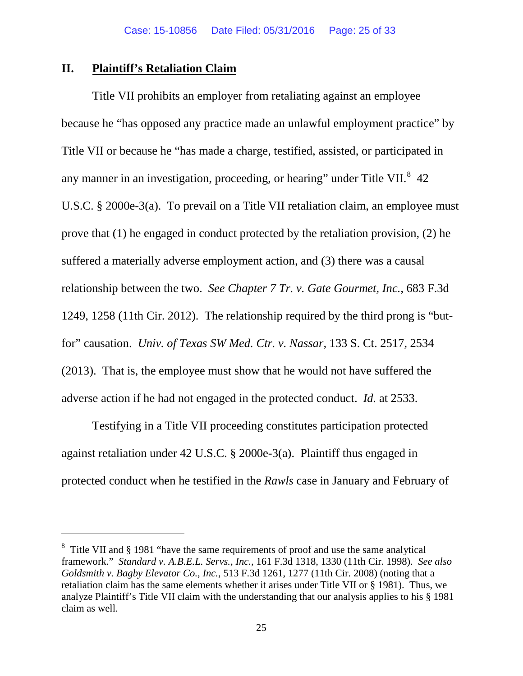# **II. Plaintiff's Retaliation Claim**

 $\overline{a}$ 

Title VII prohibits an employer from retaliating against an employee because he "has opposed any practice made an unlawful employment practice" by Title VII or because he "has made a charge, testified, assisted, or participated in any manner in an investigation, proceeding, or hearing" under Title VII.<sup>[8](#page-24-0)</sup> 42 U.S.C. § 2000e-3(a). To prevail on a Title VII retaliation claim, an employee must prove that (1) he engaged in conduct protected by the retaliation provision, (2) he suffered a materially adverse employment action, and (3) there was a causal relationship between the two. *See Chapter 7 Tr. v. Gate Gourmet, Inc.*, 683 F.3d 1249, 1258 (11th Cir. 2012). The relationship required by the third prong is "butfor" causation. *Univ. of Texas SW Med. Ctr. v. Nassar,* 133 S. Ct. 2517, 2534 (2013). That is, the employee must show that he would not have suffered the adverse action if he had not engaged in the protected conduct. *Id.* at 2533.

Testifying in a Title VII proceeding constitutes participation protected against retaliation under 42 U.S.C. § 2000e-3(a). Plaintiff thus engaged in protected conduct when he testified in the *Rawls* case in January and February of

<span id="page-24-0"></span><sup>&</sup>lt;sup>8</sup> Title VII and § 1981 "have the same requirements of proof and use the same analytical framework." *Standard v. A.B.E.L. Servs., Inc.,* 161 F.3d 1318, 1330 (11th Cir. 1998). *See also Goldsmith v. Bagby Elevator Co., Inc.*, 513 F.3d 1261, 1277 (11th Cir. 2008) (noting that a retaliation claim has the same elements whether it arises under Title VII or § 1981). Thus, we analyze Plaintiff's Title VII claim with the understanding that our analysis applies to his § 1981 claim as well.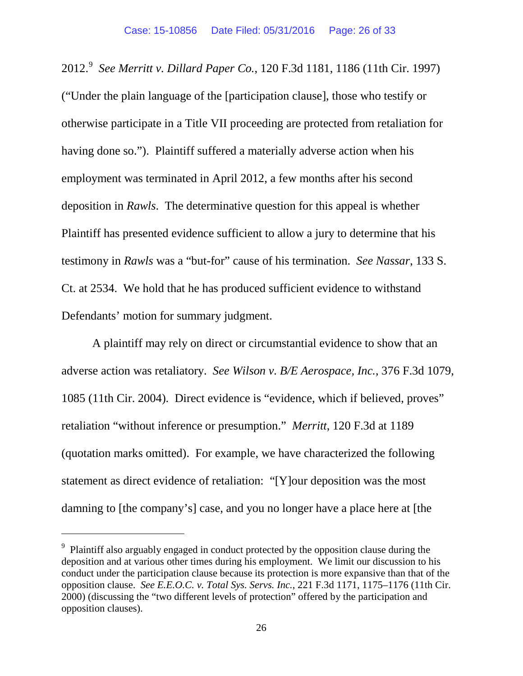2012.[9](#page-25-0) *See Merritt v. Dillard Paper Co.*, 120 F.3d 1181, 1186 (11th Cir. 1997) ("Under the plain language of the [participation clause], those who testify or otherwise participate in a Title VII proceeding are protected from retaliation for having done so."). Plaintiff suffered a materially adverse action when his employment was terminated in April 2012, a few months after his second deposition in *Rawls*. The determinative question for this appeal is whether Plaintiff has presented evidence sufficient to allow a jury to determine that his testimony in *Rawls* was a "but-for" cause of his termination. *See Nassar*, 133 S. Ct. at 2534. We hold that he has produced sufficient evidence to withstand Defendants' motion for summary judgment.

A plaintiff may rely on direct or circumstantial evidence to show that an adverse action was retaliatory. *See Wilson v. B/E Aerospace, Inc.*, 376 F.3d 1079, 1085 (11th Cir. 2004).Direct evidence is "evidence, which if believed, proves" retaliation "without inference or presumption." *Merritt*, 120 F.3d at 1189 (quotation marks omitted). For example, we have characterized the following statement as direct evidence of retaliation: "[Y]our deposition was the most damning to [the company's] case, and you no longer have a place here at [the

<span id="page-25-0"></span><sup>&</sup>lt;sup>9</sup> Plaintiff also arguably engaged in conduct protected by the opposition clause during the deposition and at various other times during his employment. We limit our discussion to his conduct under the participation clause because its protection is more expansive than that of the opposition clause. *See E.E.O.C. v. Total Sys. Servs. Inc.*, 221 F.3d 1171, 1175–1176 (11th Cir. 2000) (discussing the "two different levels of protection" offered by the participation and opposition clauses).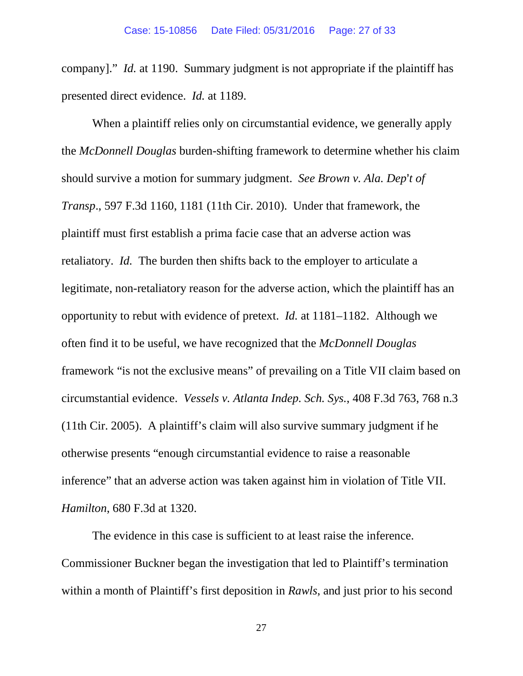company]." *Id.* at 1190. Summary judgment is not appropriate if the plaintiff has presented direct evidence. *Id.* at 1189.

When a plaintiff relies only on circumstantial evidence, we generally apply the *McDonnell Douglas* burden-shifting framework to determine whether his claim should survive a motion for summary judgment. *See Brown v. Ala. Dep't of Transp*., 597 F.3d 1160, 1181 (11th Cir. 2010). Under that framework, the plaintiff must first establish a prima facie case that an adverse action was retaliatory. *Id.* The burden then shifts back to the employer to articulate a legitimate, non-retaliatory reason for the adverse action, which the plaintiff has an opportunity to rebut with evidence of pretext. *Id.* at 1181–1182. Although we often find it to be useful, we have recognized that the *McDonnell Douglas*  framework "is not the exclusive means" of prevailing on a Title VII claim based on circumstantial evidence. *Vessels v. Atlanta Indep. Sch. Sys.*, 408 F.3d 763, 768 n.3 (11th Cir. 2005). A plaintiff's claim will also survive summary judgment if he otherwise presents "enough circumstantial evidence to raise a reasonable inference" that an adverse action was taken against him in violation of Title VII. *Hamilton*, 680 F.3d at 1320.

The evidence in this case is sufficient to at least raise the inference. Commissioner Buckner began the investigation that led to Plaintiff's termination within a month of Plaintiff's first deposition in *Rawls*, and just prior to his second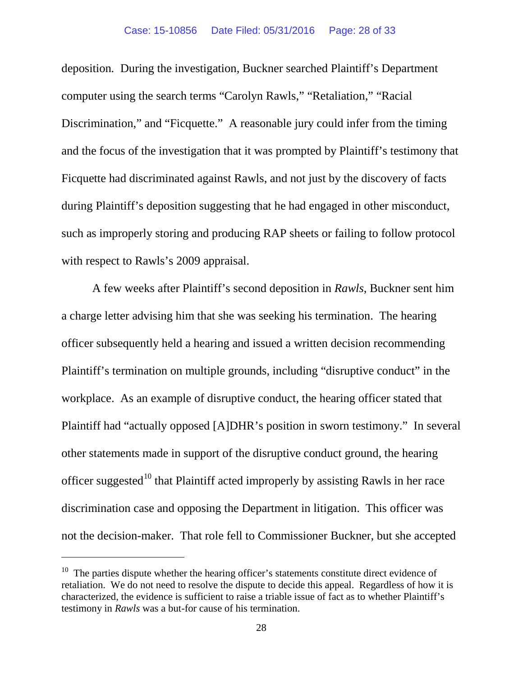deposition*.* During the investigation, Buckner searched Plaintiff's Department computer using the search terms "Carolyn Rawls," "Retaliation," "Racial Discrimination," and "Ficquette." A reasonable jury could infer from the timing and the focus of the investigation that it was prompted by Plaintiff's testimony that Ficquette had discriminated against Rawls, and not just by the discovery of facts during Plaintiff's deposition suggesting that he had engaged in other misconduct, such as improperly storing and producing RAP sheets or failing to follow protocol with respect to Rawls's 2009 appraisal.

A few weeks after Plaintiff's second deposition in *Rawls*, Buckner sent him a charge letter advising him that she was seeking his termination. The hearing officer subsequently held a hearing and issued a written decision recommending Plaintiff's termination on multiple grounds, including "disruptive conduct" in the workplace. As an example of disruptive conduct, the hearing officer stated that Plaintiff had "actually opposed [A]DHR's position in sworn testimony." In several other statements made in support of the disruptive conduct ground, the hearing officer suggested<sup>[10](#page-27-0)</sup> that Plaintiff acted improperly by assisting Rawls in her race discrimination case and opposing the Department in litigation. This officer was not the decision-maker. That role fell to Commissioner Buckner, but she accepted

<span id="page-27-0"></span> $10$  The parties dispute whether the hearing officer's statements constitute direct evidence of retaliation. We do not need to resolve the dispute to decide this appeal. Regardless of how it is characterized, the evidence is sufficient to raise a triable issue of fact as to whether Plaintiff's testimony in *Rawls* was a but-for cause of his termination.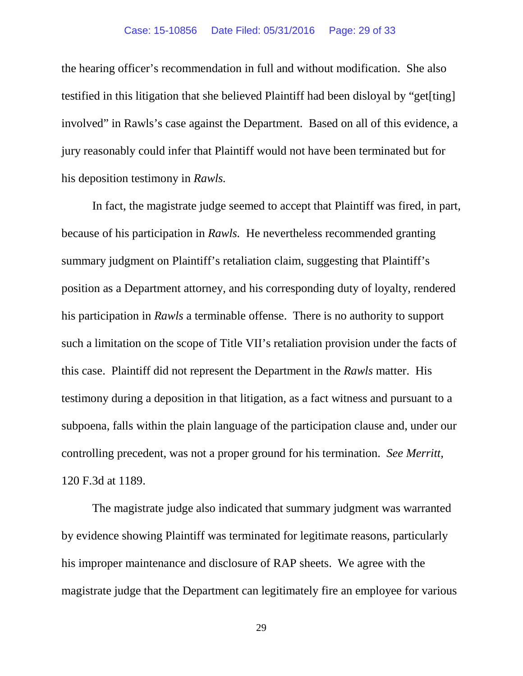the hearing officer's recommendation in full and without modification. She also testified in this litigation that she believed Plaintiff had been disloyal by "get[ting] involved" in Rawls's case against the Department. Based on all of this evidence, a jury reasonably could infer that Plaintiff would not have been terminated but for his deposition testimony in *Rawls.*

In fact, the magistrate judge seemed to accept that Plaintiff was fired, in part, because of his participation in *Rawls.* He nevertheless recommended granting summary judgment on Plaintiff's retaliation claim, suggesting that Plaintiff's position as a Department attorney, and his corresponding duty of loyalty, rendered his participation in *Rawls* a terminable offense. There is no authority to support such a limitation on the scope of Title VII's retaliation provision under the facts of this case. Plaintiff did not represent the Department in the *Rawls* matter. His testimony during a deposition in that litigation, as a fact witness and pursuant to a subpoena, falls within the plain language of the participation clause and, under our controlling precedent, was not a proper ground for his termination. *See Merritt,*  120 F.3d at 1189.

The magistrate judge also indicated that summary judgment was warranted by evidence showing Plaintiff was terminated for legitimate reasons, particularly his improper maintenance and disclosure of RAP sheets. We agree with the magistrate judge that the Department can legitimately fire an employee for various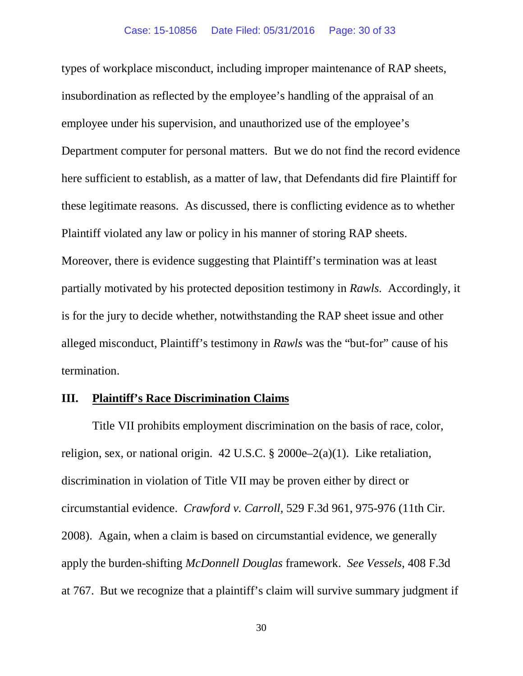types of workplace misconduct, including improper maintenance of RAP sheets, insubordination as reflected by the employee's handling of the appraisal of an employee under his supervision, and unauthorized use of the employee's Department computer for personal matters. But we do not find the record evidence here sufficient to establish, as a matter of law, that Defendants did fire Plaintiff for these legitimate reasons. As discussed, there is conflicting evidence as to whether Plaintiff violated any law or policy in his manner of storing RAP sheets. Moreover, there is evidence suggesting that Plaintiff's termination was at least partially motivated by his protected deposition testimony in *Rawls.* Accordingly, it is for the jury to decide whether, notwithstanding the RAP sheet issue and other alleged misconduct, Plaintiff's testimony in *Rawls* was the "but-for" cause of his termination.

#### **III. Plaintiff's Race Discrimination Claims**

Title VII prohibits employment discrimination on the basis of race, color, religion, sex, or national origin. 42 U.S.C. § 2000e–2(a)(1). Like retaliation, discrimination in violation of Title VII may be proven either by direct or circumstantial evidence. *Crawford v. Carroll*, 529 F.3d 961, 975-976 (11th Cir. 2008). Again, when a claim is based on circumstantial evidence, we generally apply the burden-shifting *McDonnell Douglas* framework. *See Vessels*, 408 F.3d at 767. But we recognize that a plaintiff's claim will survive summary judgment if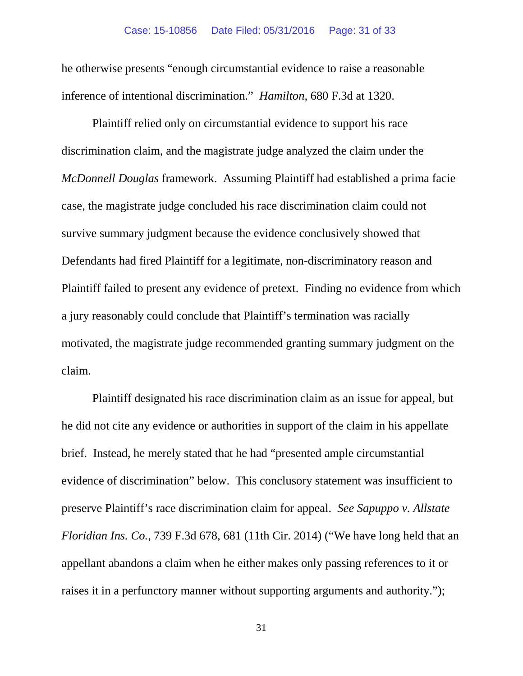he otherwise presents "enough circumstantial evidence to raise a reasonable inference of intentional discrimination." *Hamilton*, 680 F.3d at 1320.

Plaintiff relied only on circumstantial evidence to support his race discrimination claim, and the magistrate judge analyzed the claim under the *McDonnell Douglas* framework. Assuming Plaintiff had established a prima facie case, the magistrate judge concluded his race discrimination claim could not survive summary judgment because the evidence conclusively showed that Defendants had fired Plaintiff for a legitimate, non-discriminatory reason and Plaintiff failed to present any evidence of pretext. Finding no evidence from which a jury reasonably could conclude that Plaintiff's termination was racially motivated, the magistrate judge recommended granting summary judgment on the claim.

Plaintiff designated his race discrimination claim as an issue for appeal, but he did not cite any evidence or authorities in support of the claim in his appellate brief. Instead, he merely stated that he had "presented ample circumstantial evidence of discrimination" below. This conclusory statement was insufficient to preserve Plaintiff's race discrimination claim for appeal. *See Sapuppo v. Allstate Floridian Ins. Co.*, 739 F.3d 678, 681 (11th Cir. 2014) ("We have long held that an appellant abandons a claim when he either makes only passing references to it or raises it in a perfunctory manner without supporting arguments and authority.");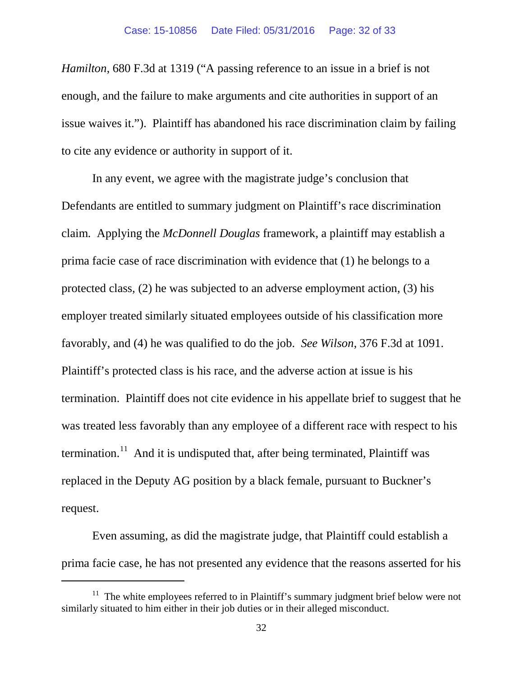*Hamilton*, 680 F.3d at 1319 ("A passing reference to an issue in a brief is not enough, and the failure to make arguments and cite authorities in support of an issue waives it."). Plaintiff has abandoned his race discrimination claim by failing to cite any evidence or authority in support of it.

In any event, we agree with the magistrate judge's conclusion that Defendants are entitled to summary judgment on Plaintiff's race discrimination claim. Applying the *McDonnell Douglas* framework, a plaintiff may establish a prima facie case of race discrimination with evidence that (1) he belongs to a protected class, (2) he was subjected to an adverse employment action, (3) his employer treated similarly situated employees outside of his classification more favorably, and (4) he was qualified to do the job. *See Wilson*, 376 F.3d at 1091. Plaintiff's protected class is his race, and the adverse action at issue is his termination. Plaintiff does not cite evidence in his appellate brief to suggest that he was treated less favorably than any employee of a different race with respect to his termination.<sup>11</sup> And it is undisputed that, after being terminated, Plaintiff was replaced in the Deputy AG position by a black female, pursuant to Buckner's request.

Even assuming, as did the magistrate judge, that Plaintiff could establish a prima facie case, he has not presented any evidence that the reasons asserted for his

<span id="page-31-0"></span> $11$  The white employees referred to in Plaintiff's summary judgment brief below were not similarly situated to him either in their job duties or in their alleged misconduct.